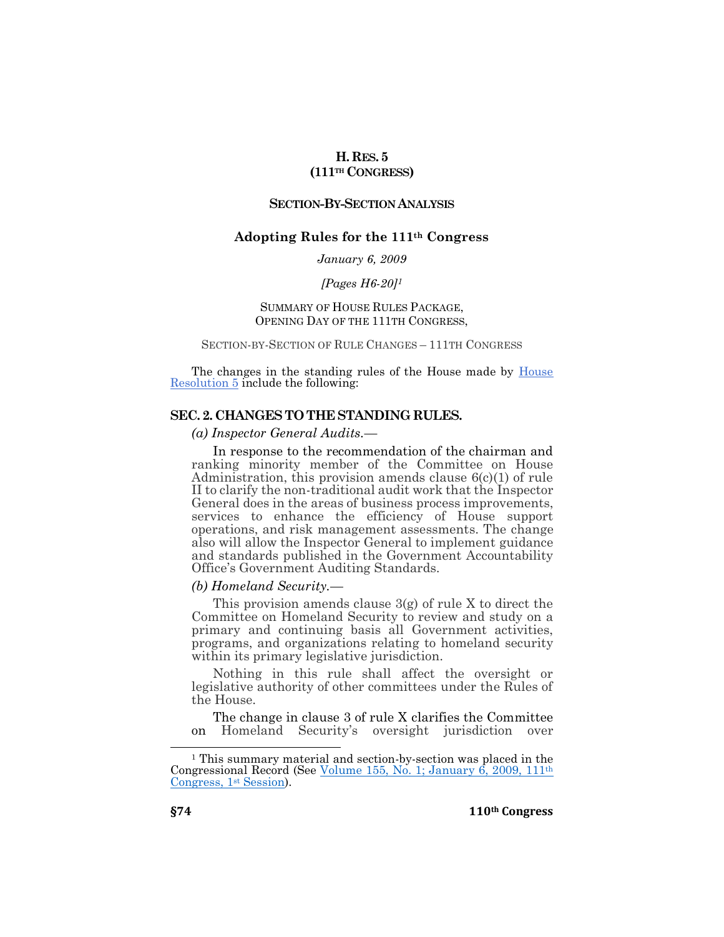# **H.RES. 5 (111TH CONGRESS)**

# **SECTION-BY-SECTION ANALYSIS**

# **Adopting Rules for the 111th Congress**

*January 6, 2009*

#### *[\[Pages](https://www.congress.gov/congressional-record/2007/01/04/house-section/article/H6-9) H6-20] 1*

# SUMMARY OF HOUSE RULES PACKAGE, OPENING DAY OF THE 111TH CONGRESS,

### SECTION-BY-SECTION OF RULE CHANGES – 111TH CONGRESS

The changes in the standing rules of the House made by [House](https://www.congress.gov/bill/111th-congress/house-resolution/5)  [Resolution 5](https://www.congress.gov/bill/111th-congress/house-resolution/5) include the following:

### **SEC. 2.CHANGES TO THE STANDING RULES.**

*(a) Inspector General Audits.—*

In response to the recommendation of the chairman and ranking minority member of the Committee on House Administration, this provision amends clause  $6(c)(1)$  of rule II to clarify the non-traditional audit work that the Inspector General does in the areas of business process improvements, services to enhance the efficiency of House support operations, and risk management assessments. The change also will allow the Inspector General to implement guidance and standards published in the Government Accountability Office's Government Auditing Standards.

### *(b) Homeland Security.—*

This provision amends clause 3(g) of rule X to direct the Committee on Homeland Security to review and study on a primary and continuing basis all Government activities, programs, and organizations relating to homeland security within its primary legislative jurisdiction.

Nothing in this rule shall affect the oversight or legislative authority of other committees under the Rules of the House.

The change in clause 3 of rule X clarifies the Committee on Homeland Security's oversight jurisdiction over

 $\overline{a}$ 

<sup>1</sup> This summary material and section-by-section was placed in the Congressional Record (See [Volume 155, No. 1; January 6, 2009, 111](https://www.congress.gov/congressional-record/2009/01/06/house-section/article/H6-8)th [Congress, 1](https://www.congress.gov/congressional-record/2009/01/06/house-section/article/H6-8)<sup>st</sup> Session).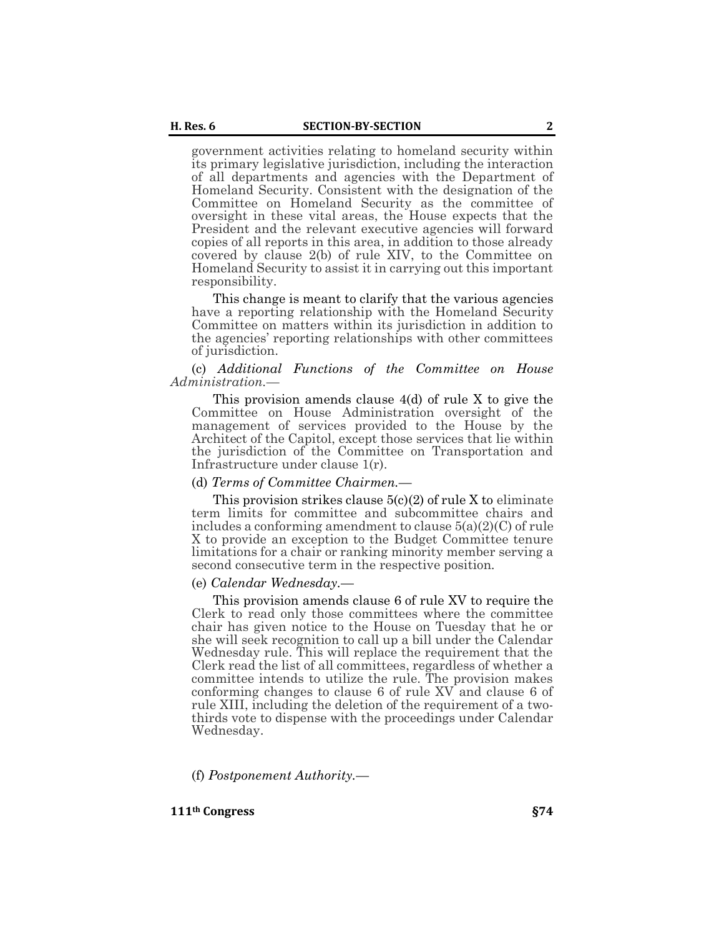government activities relating to homeland security within its primary legislative jurisdiction, including the interaction of all departments and agencies with the Department of Homeland Security. Consistent with the designation of the Committee on Homeland Security as the committee of oversight in these vital areas, the House expects that the President and the relevant executive agencies will forward copies of all reports in this area, in addition to those already covered by clause 2(b) of rule XIV, to the Committee on Homeland Security to assist it in carrying out this important responsibility.

This change is meant to clarify that the various agencies have a reporting relationship with the Homeland Security Committee on matters within its jurisdiction in addition to the agencies' reporting relationships with other committees of jurisdiction.

#### (c) *Additional Functions of the Committee on House Administration.—*

This provision amends clause 4(d) of rule X to give the Committee on House Administration oversight of the management of services provided to the House by the Architect of the Capitol, except those services that lie within the jurisdiction of the Committee on Transportation and Infrastructure under clause 1(r).

### (d) *Terms of Committee Chairmen.—*

This provision strikes clause  $5(c)(2)$  of rule X to eliminate term limits for committee and subcommittee chairs and includes a conforming amendment to clause 5(a)(2)(C) of rule X to provide an exception to the Budget Committee tenure limitations for a chair or ranking minority member serving a second consecutive term in the respective position.

### (e) *Calendar Wednesday.—*

This provision amends clause 6 of rule XV to require the Clerk to read only those committees where the committee chair has given notice to the House on Tuesday that he or she will seek recognition to call up a bill under the Calendar Wednesday rule. This will replace the requirement that the Clerk read the list of all committees, regardless of whether a committee intends to utilize the rule. The provision makes conforming changes to clause 6 of rule XV and clause 6 of rule XIII, including the deletion of the requirement of a twothirds vote to dispense with the proceedings under Calendar Wednesday.

(f) *Postponement Authority.—*

**111th Congress §74**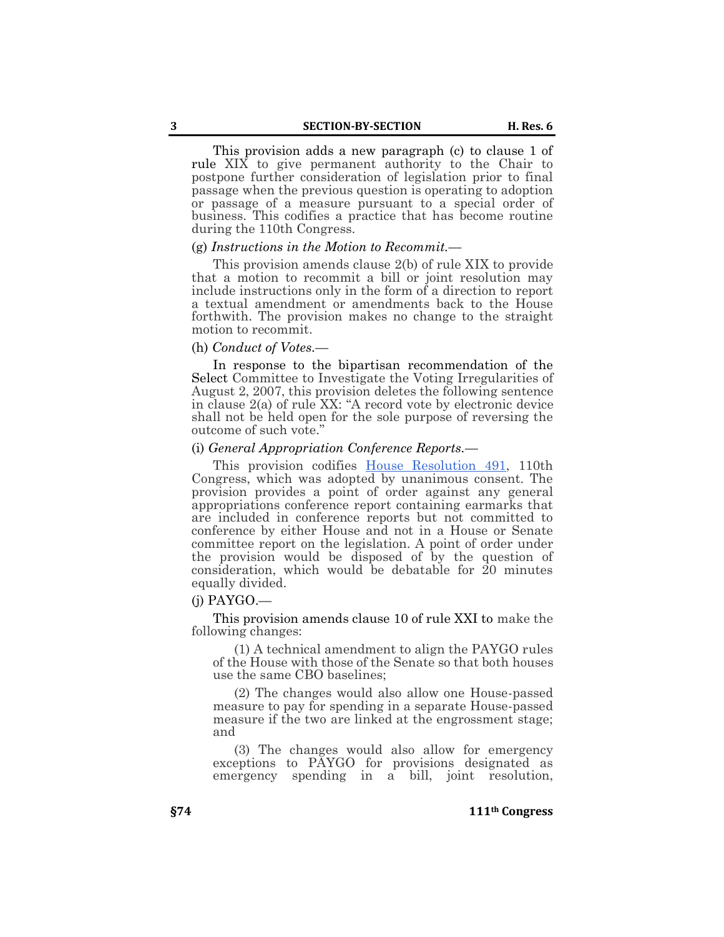This provision adds a new paragraph (c) to clause 1 of rule XIX to give permanent authority to the Chair to postpone further consideration of legislation prior to final passage when the previous question is operating to adoption or passage of a measure pursuant to a special order of business. This codifies a practice that has become routine during the 110th Congress.

## (g) *Instructions in the Motion to Recommit.—*

This provision amends clause 2(b) of rule XIX to provide that a motion to recommit a bill or joint resolution may include instructions only in the form of a direction to report a textual amendment or amendments back to the House forthwith. The provision makes no change to the straight motion to recommit.

#### (h) *Conduct of Votes.—*

In response to the bipartisan recommendation of the Select Committee to Investigate the Voting Irregularities of August 2, 2007, this provision deletes the following sentence in clause 2(a) of rule XX: "A record vote by electronic device shall not be held open for the sole purpose of reversing the outcome of such vote."

### (i) *General Appropriation Conference Reports.—*

This provision codifies [House Resolution 491,](https://www.congress.gov/bill/111th-congress/house-resolution/491) 110th Congress, which was adopted by unanimous consent. The provision provides a point of order against any general appropriations conference report containing earmarks that are included in conference reports but not committed to conference by either House and not in a House or Senate committee report on the legislation. A point of order under the provision would be disposed of by the question of consideration, which would be debatable for 20 minutes equally divided.

#### $(i)$  PAYGO.—

This provision amends clause 10 of rule XXI to make the following changes:

(1) A technical amendment to align the PAYGO rules of the House with those of the Senate so that both houses use the same CBO baselines;

(2) The changes would also allow one House-passed measure to pay for spending in a separate House-passed measure if the two are linked at the engrossment stage; and

(3) The changes would also allow for emergency exceptions to PAYGO for provisions designated as emergency spending in a bill, joint resolution,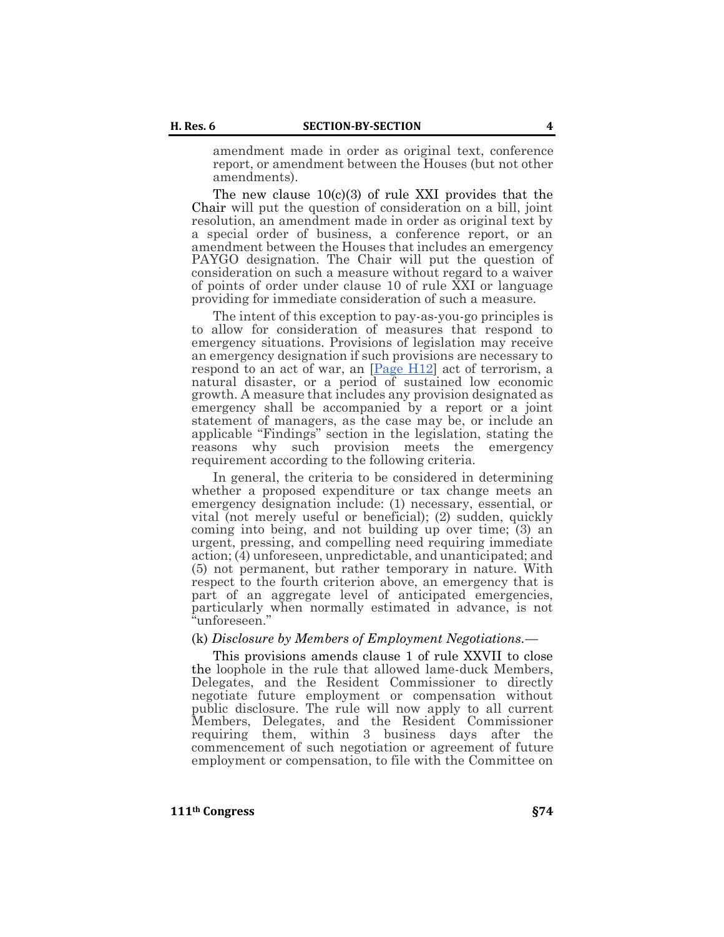amendment made in order as original text, conference report, or amendment between the Houses (but not other amendments).

The new clause  $10(c)(3)$  of rule XXI provides that the Chair will put the question of consideration on a bill, joint resolution, an amendment made in order as original text by a special order of business, a conference report, or an amendment between the Houses that includes an emergency PAYGO designation. The Chair will put the question of consideration on such a measure without regard to a waiver of points of order under clause 10 of rule XXI or language providing for immediate consideration of such a measure.

The intent of this exception to pay-as-you-go principles is to allow for consideration of measures that respond to emergency situations. Provisions of legislation may receive an emergency designation if such provisions are necessary to respond to an act of war, an  $[Page H12]$  act of terrorism, a natural disaster, or a period of sustained low economic growth. A measure that includes any provision designated as emergency shall be accompanied by a report or a joint statement of managers, as the case may be, or include an applicable "Findings" section in the legislation, stating the reasons why such provision meets the emergency requirement according to the following criteria.

In general, the criteria to be considered in determining whether a proposed expenditure or tax change meets an emergency designation include: (1) necessary, essential, or vital (not merely useful or beneficial); (2) sudden, quickly coming into being, and not building up over time; (3) an urgent, pressing, and compelling need requiring immediate action; (4) unforeseen, unpredictable, and unanticipated; and (5) not permanent, but rather temporary in nature. With respect to the fourth criterion above, an emergency that is part of an aggregate level of anticipated emergencies, particularly when normally estimated in advance, is not "unforeseen."

#### (k) *Disclosure by Members of Employment Negotiations.—*

This provisions amends clause 1 of rule XXVII to close the loophole in the rule that allowed lame-duck Members, Delegates, and the Resident Commissioner to directly negotiate future employment or compensation without public disclosure. The rule will now apply to all current Members, Delegates, and the Resident Commissioner requiring them, within 3 business days after the commencement of such negotiation or agreement of future employment or compensation, to file with the Committee on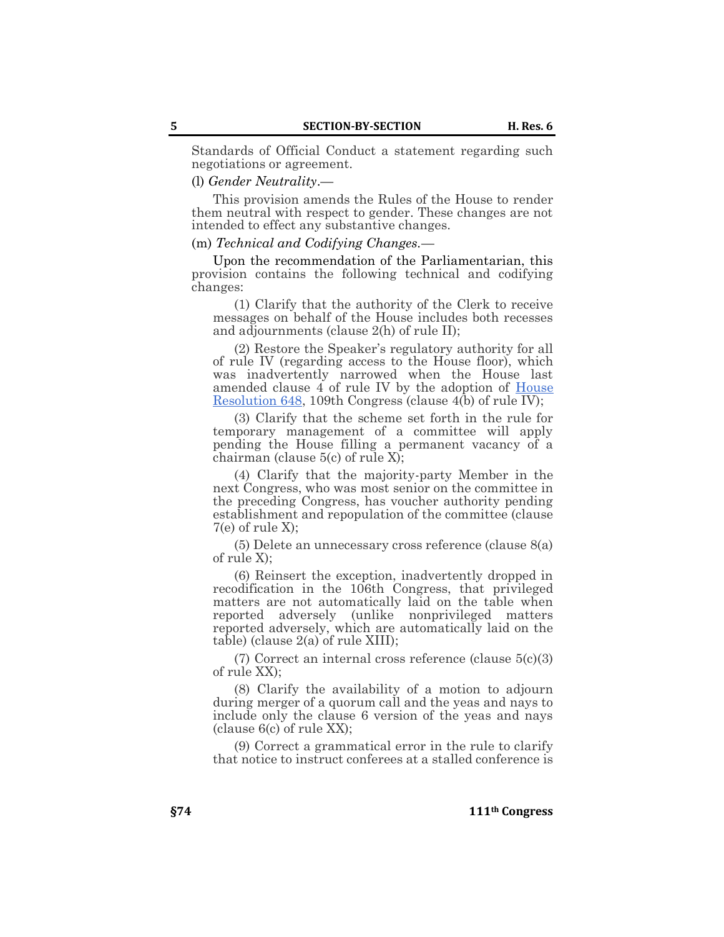Standards of Official Conduct a statement regarding such negotiations or agreement.

# (l) *Gender Neutrality*.—

This provision amends the Rules of the House to render them neutral with respect to gender. These changes are not intended to effect any substantive changes.

### (m) *Technical and Codifying Changes.—*

Upon the recommendation of the Parliamentarian, this provision contains the following technical and codifying changes:

(1) Clarify that the authority of the Clerk to receive messages on behalf of the House includes both recesses and adjournments (clause 2(h) of rule II);

(2) Restore the Speaker's regulatory authority for all of rule IV (regarding access to the House floor), which was inadvertently narrowed when the House last amended clause 4 of rule IV by the adoption of [House](https://www.congress.gov/bill/111th-congress/house-resolution/648)  [Resolution 648,](https://www.congress.gov/bill/111th-congress/house-resolution/648) 109th Congress (clause 4(b) of rule IV);

(3) Clarify that the scheme set forth in the rule for temporary management of a committee will apply pending the House filling a permanent vacancy of a chairman (clause 5(c) of rule X);

(4) Clarify that the majority-party Member in the next Congress, who was most senior on the committee in the preceding Congress, has voucher authority pending establishment and repopulation of the committee (clause  $7(e)$  of rule X);

(5) Delete an unnecessary cross reference (clause 8(a) of rule X);

(6) Reinsert the exception, inadvertently dropped in recodification in the 106th Congress, that privileged matters are not automatically laid on the table when reported adversely (unlike nonprivileged matters reported adversely, which are automatically laid on the table) (clause 2(a) of rule XIII);

 $(7)$  Correct an internal cross reference (clause  $5(c)(3)$ ) of rule XX);

(8) Clarify the availability of a motion to adjourn during merger of a quorum call and the yeas and nays to include only the clause 6 version of the yeas and nays (clause 6(c) of rule XX);

(9) Correct a grammatical error in the rule to clarify that notice to instruct conferees at a stalled conference is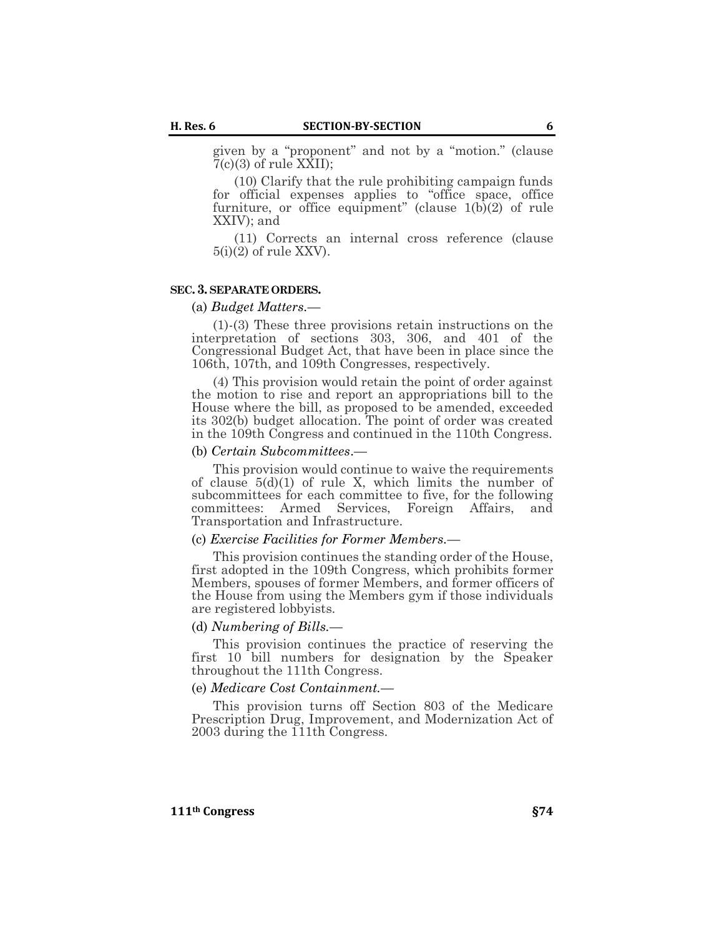given by a "proponent" and not by a "motion." (clause  $7(c)(3)$  of rule XXII);

(10) Clarify that the rule prohibiting campaign funds for official expenses applies to "office space, office furniture, or office equipment" (clause  $1(b)(2)$  of rule XXIV); and

(11) Corrects an internal cross reference (clause  $5(i)(2)$  of rule XXV).

#### **SEC.3. SEPARATE ORDERS.**

## (a) *Budget Matters.—*

(1)-(3) These three provisions retain instructions on the interpretation of sections 303, 306, and 401 of the Congressional Budget Act, that have been in place since the 106th, 107th, and 109th Congresses, respectively.

(4) This provision would retain the point of order against the motion to rise and report an appropriations bill to the House where the bill, as proposed to be amended, exceeded its 302(b) budget allocation. The point of order was created in the 109th Congress and continued in the 110th Congress.

#### (b) *Certain Subcommittees*.—

This provision would continue to waive the requirements of clause  $5(d)(1)$  of rule X, which limits the number of subcommittees for each committee to five, for the following committees: Armed Services, Foreign Affairs, and Transportation and Infrastructure.

#### (c) *Exercise Facilities for Former Members.—*

This provision continues the standing order of the House, first adopted in the 109th Congress, which prohibits former Members, spouses of former Members, and former officers of the House from using the Members gym if those individuals are registered lobbyists.

#### (d) *Numbering of Bills.—*

This provision continues the practice of reserving the first 10 bill numbers for designation by the Speaker throughout the 111th Congress.

## (e) *Medicare Cost Containment.—*

This provision turns off Section 803 of the Medicare Prescription Drug, Improvement, and Modernization Act of 2003 during the 111th Congress.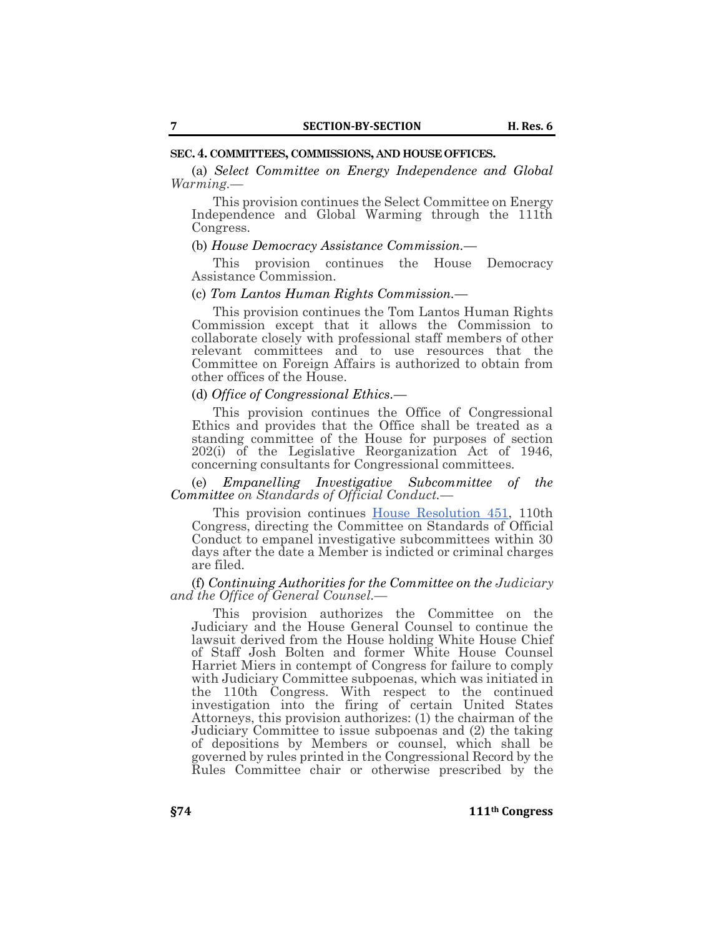#### **SEC.4. COMMITTEES, COMMISSIONS, AND HOUSE OFFICES.**

(a) *Select Committee on Energy Independence and Global Warming.—*

This provision continues the Select Committee on Energy Independence and Global Warming through the 111th Congress.

## (b) *House Democracy Assistance Commission.—*

This provision continues the House Democracy Assistance Commission.

### (c) *Tom Lantos Human Rights Commission.—*

This provision continues the Tom Lantos Human Rights Commission except that it allows the Commission to collaborate closely with professional staff members of other relevant committees and to use resources that the Committee on Foreign Affairs is authorized to obtain from other offices of the House.

#### (d) *Office of Congressional Ethics.—*

This provision continues the Office of Congressional Ethics and provides that the Office shall be treated as a standing committee of the House for purposes of section 202(i) of the Legislative Reorganization Act of 1946, concerning consultants for Congressional committees.

(e) *Empanelling Investigative Subcommittee of the Committee on Standards of Official Conduct.—*

This provision continues [House Resolution 451,](https://www.congress.gov/bill/111th-congress/house-resolution/451) 110th Congress, directing the Committee on Standards of Official Conduct to empanel investigative subcommittees within 30 days after the date a Member is indicted or criminal charges are filed.

(f) *Continuing Authorities for the Committee on the Judiciary and the Office of General Counsel.—*

This provision authorizes the Committee on the Judiciary and the House General Counsel to continue the lawsuit derived from the House holding White House Chief of Staff Josh Bolten and former White House Counsel Harriet Miers in contempt of Congress for failure to comply with Judiciary Committee subpoenas, which was initiated in the 110th Congress. With respect to the continued investigation into the firing of certain United States Attorneys, this provision authorizes: (1) the chairman of the Judiciary Committee to issue subpoenas and (2) the taking of depositions by Members or counsel, which shall be governed by rules printed in the Congressional Record by the Rules Committee chair or otherwise prescribed by the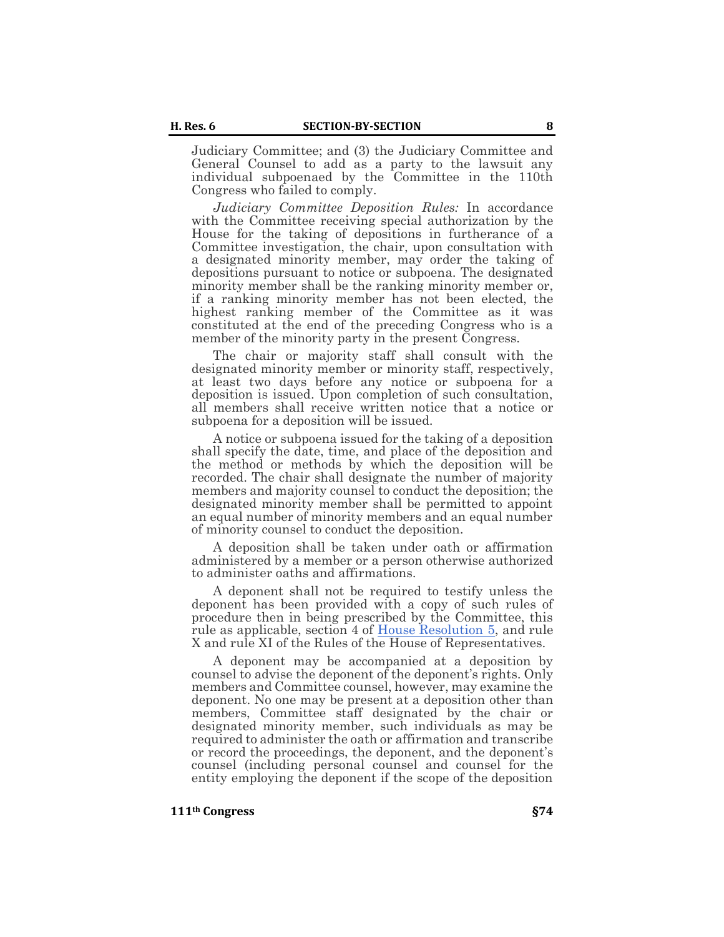Judiciary Committee; and (3) the Judiciary Committee and General Counsel to add as a party to the lawsuit any individual subpoenaed by the Committee in the 110th Congress who failed to comply.

*Judiciary Committee Deposition Rules:* In accordance with the Committee receiving special authorization by the House for the taking of depositions in furtherance of a Committee investigation, the chair, upon consultation with a designated minority member, may order the taking of depositions pursuant to notice or subpoena. The designated minority member shall be the ranking minority member or, if a ranking minority member has not been elected, the highest ranking member of the Committee as it was constituted at the end of the preceding Congress who is a member of the minority party in the present Congress.

The chair or majority staff shall consult with the designated minority member or minority staff, respectively, at least two days before any notice or subpoena for a deposition is issued. Upon completion of such consultation, all members shall receive written notice that a notice or subpoena for a deposition will be issued.

A notice or subpoena issued for the taking of a deposition shall specify the date, time, and place of the deposition and the method or methods by which the deposition will be recorded. The chair shall designate the number of majority members and majority counsel to conduct the deposition; the designated minority member shall be permitted to appoint an equal number of minority members and an equal number of minority counsel to conduct the deposition.

A deposition shall be taken under oath or affirmation administered by a member or a person otherwise authorized to administer oaths and affirmations.

A deponent shall not be required to testify unless the deponent has been provided with a copy of such rules of procedure then in being prescribed by the Committee, this rule as applicable, section 4 of [House Resolution 5,](https://www.congress.gov/bill/111th-congress/house-resolution/5) and rule X and rule XI of the Rules of the House of Representatives.

A deponent may be accompanied at a deposition by counsel to advise the deponent of the deponent's rights. Only members and Committee counsel, however, may examine the deponent. No one may be present at a deposition other than members, Committee staff designated by the chair or designated minority member, such individuals as may be required to administer the oath or affirmation and transcribe or record the proceedings, the deponent, and the deponent's counsel (including personal counsel and counsel for the entity employing the deponent if the scope of the deposition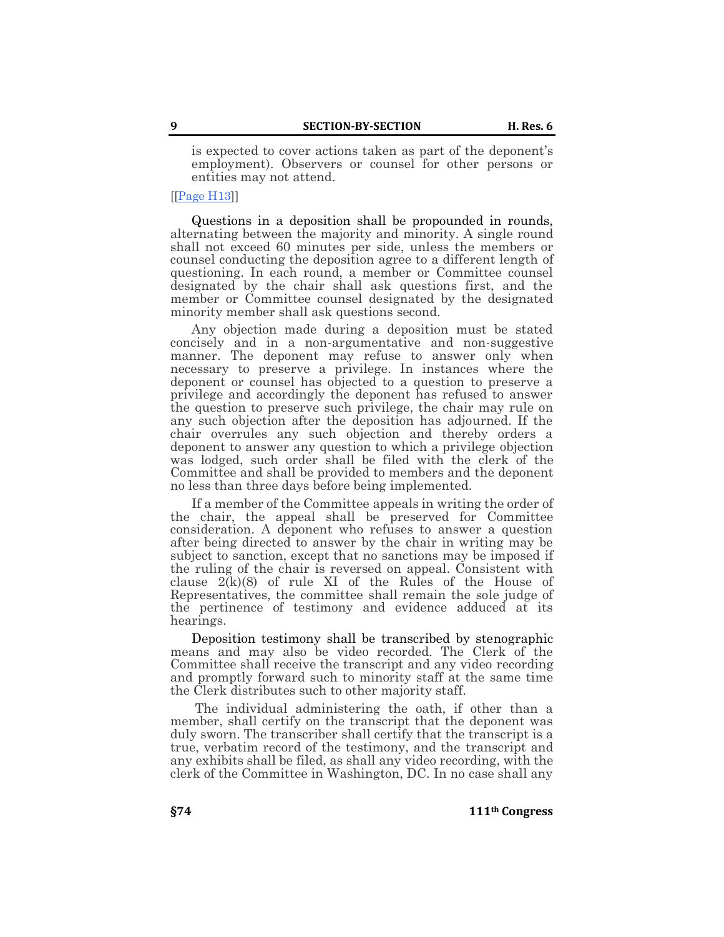is expected to cover actions taken as part of the deponent's employment). Observers or counsel for other persons or entities may not attend.

[[\[Page H13\]](https://www.congress.gov/congressional-record/volume-155/house-section/page/H13)]

Questions in a deposition shall be propounded in rounds, alternating between the majority and minority. A single round shall not exceed 60 minutes per side, unless the members or counsel conducting the deposition agree to a different length of questioning. In each round, a member or Committee counsel designated by the chair shall ask questions first, and the member or Committee counsel designated by the designated minority member shall ask questions second.

Any objection made during a deposition must be stated concisely and in a non-argumentative and non-suggestive manner. The deponent may refuse to answer only when necessary to preserve a privilege. In instances where the deponent or counsel has objected to a question to preserve a privilege and accordingly the deponent has refused to answer the question to preserve such privilege, the chair may rule on any such objection after the deposition has adjourned. If the chair overrules any such objection and thereby orders a deponent to answer any question to which a privilege objection was lodged, such order shall be filed with the clerk of the Committee and shall be provided to members and the deponent no less than three days before being implemented.

If a member of the Committee appeals in writing the order of the chair, the appeal shall be preserved for Committee consideration. A deponent who refuses to answer a question after being directed to answer by the chair in writing may be subject to sanction, except that no sanctions may be imposed if the ruling of the chair is reversed on appeal. Consistent with clause  $2(k)(8)$  of rule XI of the Rules of the House of Representatives, the committee shall remain the sole judge of the pertinence of testimony and evidence adduced at its hearings.

Deposition testimony shall be transcribed by stenographic means and may also be video recorded. The Clerk of the Committee shall receive the transcript and any video recording and promptly forward such to minority staff at the same time the Clerk distributes such to other majority staff.

The individual administering the oath, if other than a member, shall certify on the transcript that the deponent was duly sworn. The transcriber shall certify that the transcript is a true, verbatim record of the testimony, and the transcript and any exhibits shall be filed, as shall any video recording, with the clerk of the Committee in Washington, DC. In no case shall any